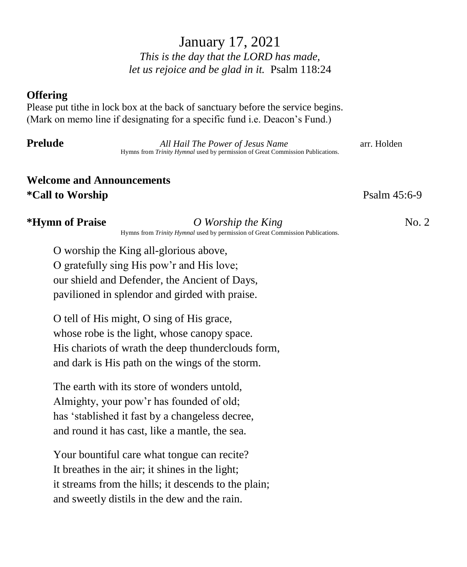# January 17, 2021 *This is the day that the LORD has made, let us rejoice and be glad in it.* Psalm 118:24

### **Offering**

Please put tithe in lock box at the back of sanctuary before the service begins. (Mark on memo line if designating for a specific fund i.e. Deacon's Fund.)

**Prelude** *All Hail The Power of Jesus Name* **arr. Holden** Hymns from *Trinity Hymnal* used by permission of Great Commission Publications.

# **Welcome and Announcements \*Call to Worship** Psalm 45:6-9

### **\*Hymn of Praise** *O Worship the King* **No. 2 No. 2**

Hymns from *Trinity Hymnal* used by permission of Great Commission Publications.

O worship the King all-glorious above, O gratefully sing His pow'r and His love; our shield and Defender, the Ancient of Days, pavilioned in splendor and girded with praise.

O tell of His might, O sing of His grace, whose robe is the light, whose canopy space. His chariots of wrath the deep thunderclouds form, and dark is His path on the wings of the storm.

The earth with its store of wonders untold, Almighty, your pow'r has founded of old; has 'stablished it fast by a changeless decree, and round it has cast, like a mantle, the sea.

Your bountiful care what tongue can recite? It breathes in the air; it shines in the light; it streams from the hills; it descends to the plain; and sweetly distils in the dew and the rain.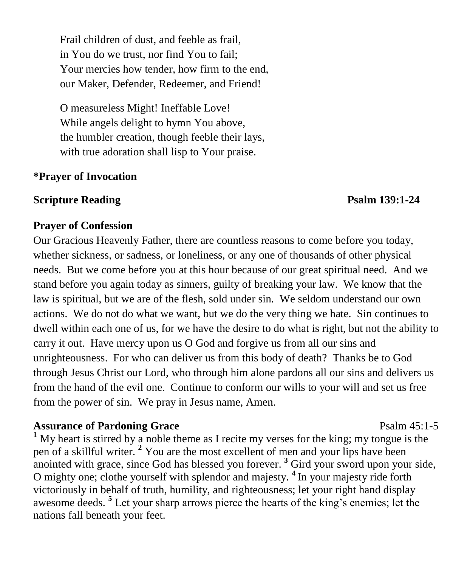Frail children of dust, and feeble as frail, in You do we trust, nor find You to fail; Your mercies how tender, how firm to the end, our Maker, Defender, Redeemer, and Friend!

O measureless Might! Ineffable Love! While angels delight to hymn You above, the humbler creation, though feeble their lays, with true adoration shall lisp to Your praise.

## **\*Prayer of Invocation**

## **Scripture Reading Psalm 139:1-24**

## **Prayer of Confession**

Our Gracious Heavenly Father, there are countless reasons to come before you today, whether sickness, or sadness, or loneliness, or any one of thousands of other physical needs. But we come before you at this hour because of our great spiritual need. And we stand before you again today as sinners, guilty of breaking your law. We know that the law is spiritual, but we are of the flesh, sold under sin. We seldom understand our own actions. We do not do what we want, but we do the very thing we hate. Sin continues to dwell within each one of us, for we have the desire to do what is right, but not the ability to carry it out. Have mercy upon us O God and forgive us from all our sins and unrighteousness. For who can deliver us from this body of death? Thanks be to God through Jesus Christ our Lord, who through him alone pardons all our sins and delivers us from the hand of the evil one. Continue to conform our wills to your will and set us free from the power of sin. We pray in Jesus name, Amen.

## **Assurance of Pardoning Grace** Psalm 45:1-5

**<sup>1</sup>** My heart is stirred by a noble theme as I recite my verses for the king; my tongue is the pen of a skillful writer. **<sup>2</sup>** You are the most excellent of men and your lips have been anointed with grace, since God has blessed you forever.<sup>3</sup> Gird your sword upon your side, O mighty one; clothe yourself with splendor and majesty. **<sup>4</sup>**In your majesty ride forth victoriously in behalf of truth, humility, and righteousness; let your right hand display awesome deeds. **<sup>5</sup>** Let your sharp arrows pierce the hearts of the king's enemies; let the nations fall beneath your feet.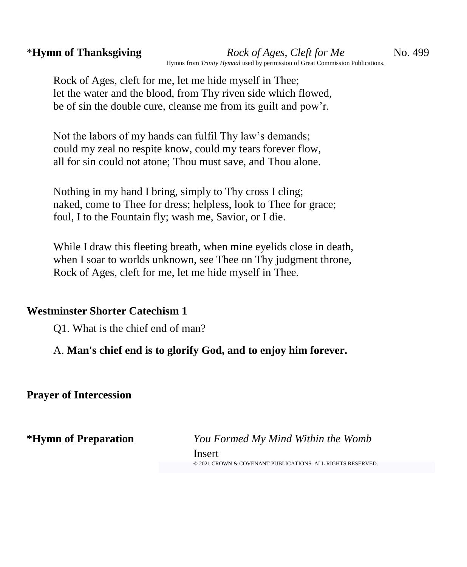Rock of Ages, cleft for me, let me hide myself in Thee; let the water and the blood, from Thy riven side which flowed, be of sin the double cure, cleanse me from its guilt and pow'r.

Not the labors of my hands can fulfil Thy law's demands; could my zeal no respite know, could my tears forever flow, all for sin could not atone; Thou must save, and Thou alone.

Nothing in my hand I bring, simply to Thy cross I cling; naked, come to Thee for dress; helpless, look to Thee for grace; foul, I to the Fountain fly; wash me, Savior, or I die.

While I draw this fleeting breath, when mine eyelids close in death, when I soar to worlds unknown, see Thee on Thy judgment throne, Rock of Ages, cleft for me, let me hide myself in Thee.

## **Westminster Shorter Catechism 1**

Q1. What is the chief end of man?

A. **Man's chief end is to glorify God, and to enjoy him forever.**

**Prayer of Intercession**

**\*Hymn of Preparation** *You Formed My Mind Within the Womb* Insert © 2021 [CROWN & COVENANT PUBLICATIONS. ALL RIGHTS RESERVED.](https://www.crownandcovenant.com/terms.asp)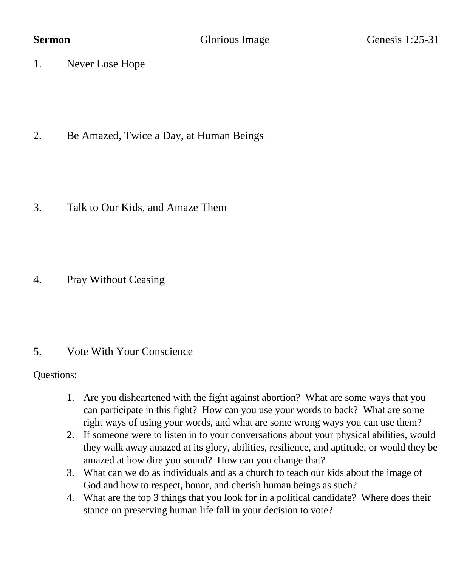1. Never Lose Hope

2. Be Amazed, Twice a Day, at Human Beings

3. Talk to Our Kids, and Amaze Them

4. Pray Without Ceasing

## 5. Vote With Your Conscience

Questions:

- 1. Are you disheartened with the fight against abortion? What are some ways that you can participate in this fight? How can you use your words to back? What are some right ways of using your words, and what are some wrong ways you can use them?
- 2. If someone were to listen in to your conversations about your physical abilities, would they walk away amazed at its glory, abilities, resilience, and aptitude, or would they be amazed at how dire you sound? How can you change that?
- 3. What can we do as individuals and as a church to teach our kids about the image of God and how to respect, honor, and cherish human beings as such?
- 4. What are the top 3 things that you look for in a political candidate? Where does their stance on preserving human life fall in your decision to vote?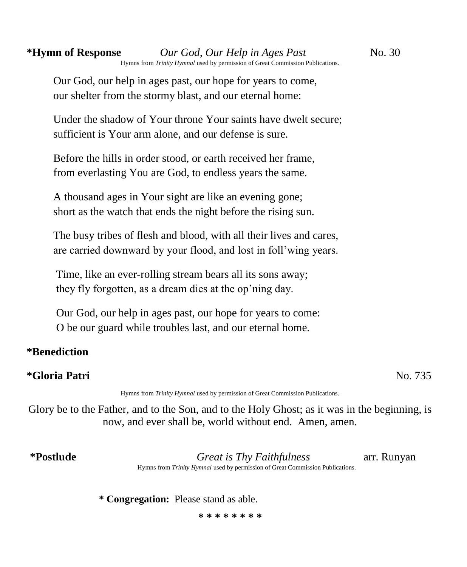Our God, our help in ages past, our hope for years to come, our shelter from the stormy blast, and our eternal home:

Under the shadow of Your throne Your saints have dwelt secure; sufficient is Your arm alone, and our defense is sure.

Before the hills in order stood, or earth received her frame, from everlasting You are God, to endless years the same.

A thousand ages in Your sight are like an evening gone; short as the watch that ends the night before the rising sun.

The busy tribes of flesh and blood, with all their lives and cares, are carried downward by your flood, and lost in foll'wing years.

Time, like an ever-rolling stream bears all its sons away; they fly forgotten, as a dream dies at the op'ning day.

Our God, our help in ages past, our hope for years to come: O be our guard while troubles last, and our eternal home.

# **\*Benediction**

# **\*Gloria Patri** No. 735

Hymns from *Trinity Hymnal* used by permission of Great Commission Publications.

Glory be to the Father, and to the Son, and to the Holy Ghost; as it was in the beginning, is now, and ever shall be, world without end. Amen, amen.

**\*Postlude** *Great is Thy Faithfulness* arr. Runyan Hymns from *Trinity Hymnal* used by permission of Great Commission Publications.

**\* Congregation:** Please stand as able.

**\* \* \* \* \* \* \* \***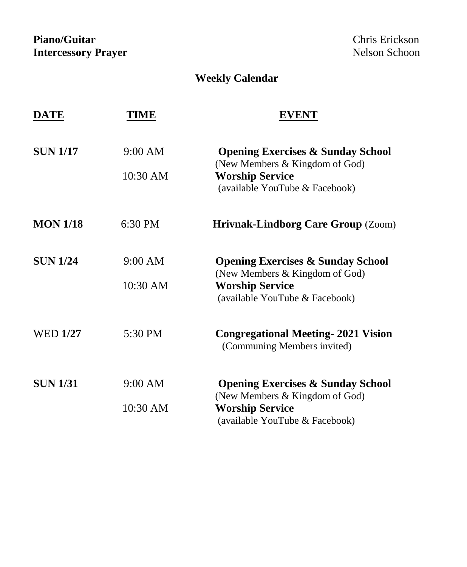Piano/Guitar **Chris Executes 2018**<br> **Piano/Guitar Chris Execution 2019**<br> **Piano/Guitar Chris Executes 2019**<br> **Piano/Guitar Chris Executes 2019**<br> **Piano/Guitar Chris Executes 2019 Intercessory Prayer** 

## **Weekly Calendar**

| DATE            | TIME     | <b>EVENT</b>                                                                   |
|-----------------|----------|--------------------------------------------------------------------------------|
| <b>SUN 1/17</b> | 9:00 AM  | <b>Opening Exercises &amp; Sunday School</b><br>(New Members & Kingdom of God) |
|                 | 10:30 AM | <b>Worship Service</b><br>(available YouTube & Facebook)                       |
| <b>MON 1/18</b> | 6:30 PM  | <b>Hrivnak-Lindborg Care Group (Zoom)</b>                                      |
| <b>SUN 1/24</b> | 9:00 AM  | <b>Opening Exercises &amp; Sunday School</b><br>(New Members & Kingdom of God) |
|                 | 10:30 AM | <b>Worship Service</b><br>(available YouTube & Facebook)                       |
| <b>WED 1/27</b> | 5:30 PM  | <b>Congregational Meeting-2021 Vision</b><br>(Communing Members invited)       |
| <b>SUN 1/31</b> | 9:00 AM  | <b>Opening Exercises &amp; Sunday School</b><br>(New Members & Kingdom of God) |
|                 | 10:30 AM | <b>Worship Service</b><br>(available YouTube & Facebook)                       |